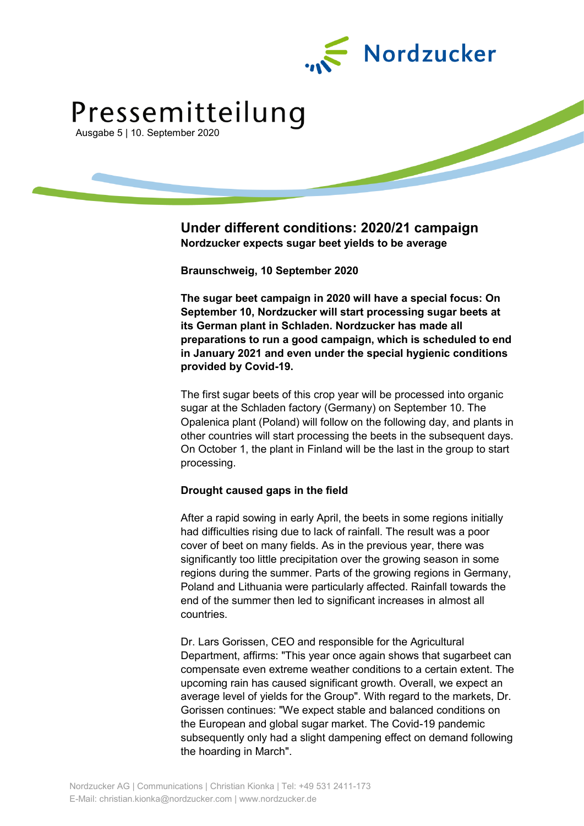

# Pressemitteilung

Ausgabe 5 | 10. September 2020

# **Under different conditions: 2020/21 campaign Nordzucker expects sugar beet yields to be average**

**Braunschweig, 10 September 2020**

**The sugar beet campaign in 2020 will have a special focus: On September 10, Nordzucker will start processing sugar beets at its German plant in Schladen. Nordzucker has made all preparations to run a good campaign, which is scheduled to end in January 2021 and even under the special hygienic conditions provided by Covid-19.**

The first sugar beets of this crop year will be processed into organic sugar at the Schladen factory (Germany) on September 10. The Opalenica plant (Poland) will follow on the following day, and plants in other countries will start processing the beets in the subsequent days. On October 1, the plant in Finland will be the last in the group to start processing.

## **Drought caused gaps in the field**

After a rapid sowing in early April, the beets in some regions initially had difficulties rising due to lack of rainfall. The result was a poor cover of beet on many fields. As in the previous year, there was significantly too little precipitation over the growing season in some regions during the summer. Parts of the growing regions in Germany, Poland and Lithuania were particularly affected. Rainfall towards the end of the summer then led to significant increases in almost all countries.

Dr. Lars Gorissen, CEO and responsible for the Agricultural Department, affirms: "This year once again shows that sugarbeet can compensate even extreme weather conditions to a certain extent. The upcoming rain has caused significant growth. Overall, we expect an average level of yields for the Group". With regard to the markets, Dr. Gorissen continues: "We expect stable and balanced conditions on the European and global sugar market. The Covid-19 pandemic subsequently only had a slight dampening effect on demand following the hoarding in March".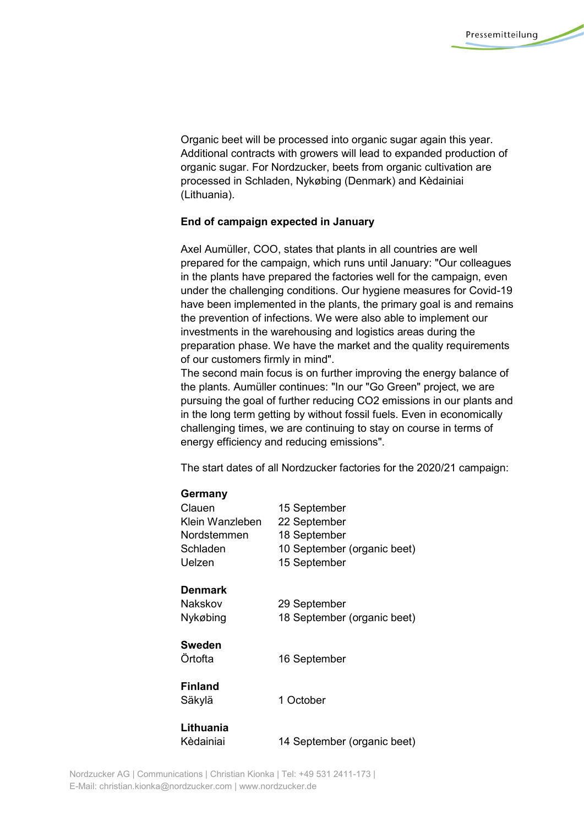Organic beet will be processed into organic sugar again this year. Additional contracts with growers will lead to expanded production of organic sugar. For Nordzucker, beets from organic cultivation are processed in Schladen, Nykøbing (Denmark) and Kèdainiai (Lithuania).

#### **End of campaign expected in January**

Axel Aumüller, COO, states that plants in all countries are well prepared for the campaign, which runs until January: "Our colleagues in the plants have prepared the factories well for the campaign, even under the challenging conditions. Our hygiene measures for Covid-19 have been implemented in the plants, the primary goal is and remains the prevention of infections. We were also able to implement our investments in the warehousing and logistics areas during the preparation phase. We have the market and the quality requirements of our customers firmly in mind".

The second main focus is on further improving the energy balance of the plants. Aumüller continues: "In our "Go Green" project, we are pursuing the goal of further reducing CO2 emissions in our plants and in the long term getting by without fossil fuels. Even in economically challenging times, we are continuing to stay on course in terms of energy efficiency and reducing emissions".

The start dates of all Nordzucker factories for the 2020/21 campaign:

#### **Germany**

| Clauen          | 15 September                |
|-----------------|-----------------------------|
| Klein Wanzleben | 22 September                |
| Nordstemmen     | 18 September                |
| Schladen        | 10 September (organic beet) |
| Uelzen          | 15 September                |
| Denmark         |                             |
| Nakskov         | 29 September                |
| Nykøbing        | 18 September (organic beet) |
| Sweden          |                             |
| Örtofta         | 16 September                |
| Finland         |                             |
| Säkylä          | 1 October                   |
| Lithuania       |                             |
| Kèdainiai       | 14 September (organic beet) |